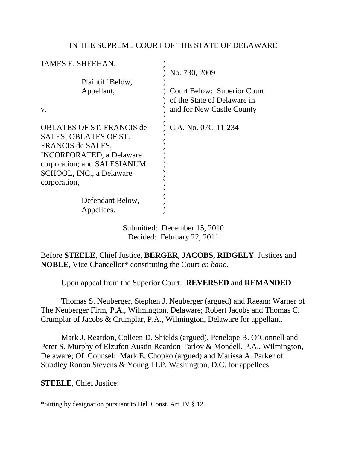### IN THE SUPREME COURT OF THE STATE OF DELAWARE

| JAMES E. SHEEHAN,                                                                                                                                |                                                                                                |
|--------------------------------------------------------------------------------------------------------------------------------------------------|------------------------------------------------------------------------------------------------|
|                                                                                                                                                  | No. 730, 2009                                                                                  |
| Plaintiff Below,                                                                                                                                 |                                                                                                |
| Appellant,<br>V.                                                                                                                                 | <b>Court Below: Superior Court</b><br>of the State of Delaware in<br>and for New Castle County |
|                                                                                                                                                  |                                                                                                |
| <b>OBLATES OF ST. FRANCIS de</b><br>SALES; OBLATES OF ST.<br>FRANCIS de SALES,<br><b>INCORPORATED, a Delaware</b><br>corporation; and SALESIANUM | C.A. No. 07C-11-234                                                                            |
| SCHOOL, INC., a Delaware                                                                                                                         |                                                                                                |
| corporation,                                                                                                                                     |                                                                                                |
|                                                                                                                                                  |                                                                                                |
| Defendant Below,                                                                                                                                 |                                                                                                |
| Appellees.                                                                                                                                       |                                                                                                |

Submitted: December 15, 2010 Decided: February 22, 2011

Before **STEELE**, Chief Justice, **BERGER, JACOBS, RIDGELY**, Justices and **NOBLE**, Vice Chancellor\* constituting the Court *en banc*.

Upon appeal from the Superior Court. **REVERSED** and **REMANDED**

 Thomas S. Neuberger, Stephen J. Neuberger (argued) and Raeann Warner of The Neuberger Firm, P.A., Wilmington, Delaware; Robert Jacobs and Thomas C. Crumplar of Jacobs & Crumplar, P.A., Wilmington, Delaware for appellant.

 Mark J. Reardon, Colleen D. Shields (argued), Penelope B. O'Connell and Peter S. Murphy of Elzufon Austin Reardon Tarlov & Mondell, P.A., Wilmington, Delaware; Of Counsel: Mark E. Chopko (argued) and Marissa A. Parker of Stradley Ronon Stevens & Young LLP, Washington, D.C. for appellees.

**STEELE**, Chief Justice:

\*Sitting by designation pursuant to Del. Const. Art. IV § 12.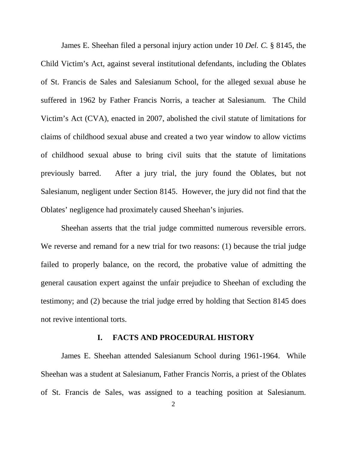James E. Sheehan filed a personal injury action under 10 *Del. C.* § 8145, the Child Victim's Act, against several institutional defendants, including the Oblates of St. Francis de Sales and Salesianum School, for the alleged sexual abuse he suffered in 1962 by Father Francis Norris, a teacher at Salesianum. The Child Victim's Act (CVA), enacted in 2007, abolished the civil statute of limitations for claims of childhood sexual abuse and created a two year window to allow victims of childhood sexual abuse to bring civil suits that the statute of limitations previously barred. After a jury trial, the jury found the Oblates, but not Salesianum, negligent under Section 8145. However, the jury did not find that the Oblates' negligence had proximately caused Sheehan's injuries.

Sheehan asserts that the trial judge committed numerous reversible errors. We reverse and remand for a new trial for two reasons: (1) because the trial judge failed to properly balance, on the record, the probative value of admitting the general causation expert against the unfair prejudice to Sheehan of excluding the testimony; and (2) because the trial judge erred by holding that Section 8145 does not revive intentional torts.

#### **I. FACTS AND PROCEDURAL HISTORY**

James E. Sheehan attended Salesianum School during 1961-1964. While Sheehan was a student at Salesianum, Father Francis Norris, a priest of the Oblates of St. Francis de Sales, was assigned to a teaching position at Salesianum.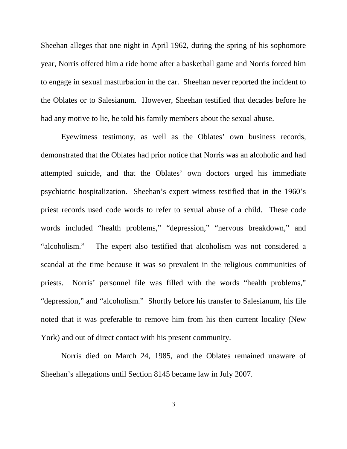Sheehan alleges that one night in April 1962, during the spring of his sophomore year, Norris offered him a ride home after a basketball game and Norris forced him to engage in sexual masturbation in the car. Sheehan never reported the incident to the Oblates or to Salesianum. However, Sheehan testified that decades before he had any motive to lie, he told his family members about the sexual abuse.

Eyewitness testimony, as well as the Oblates' own business records, demonstrated that the Oblates had prior notice that Norris was an alcoholic and had attempted suicide, and that the Oblates' own doctors urged his immediate psychiatric hospitalization. Sheehan's expert witness testified that in the 1960's priest records used code words to refer to sexual abuse of a child. These code words included "health problems," "depression," "nervous breakdown," and "alcoholism." The expert also testified that alcoholism was not considered a scandal at the time because it was so prevalent in the religious communities of priests. Norris' personnel file was filled with the words "health problems," "depression," and "alcoholism." Shortly before his transfer to Salesianum, his file noted that it was preferable to remove him from his then current locality (New York) and out of direct contact with his present community.

Norris died on March 24, 1985, and the Oblates remained unaware of Sheehan's allegations until Section 8145 became law in July 2007.

3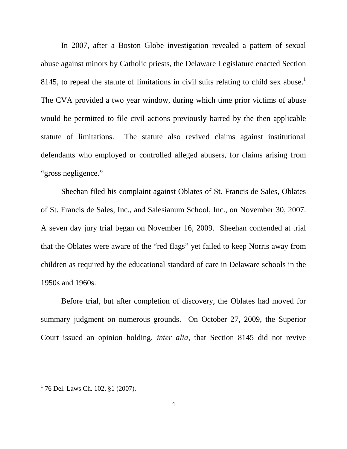In 2007, after a Boston Globe investigation revealed a pattern of sexual abuse against minors by Catholic priests, the Delaware Legislature enacted Section 8145, to repeal the statute of limitations in civil suits relating to child sex abuse.<sup>1</sup> The CVA provided a two year window, during which time prior victims of abuse would be permitted to file civil actions previously barred by the then applicable statute of limitations. The statute also revived claims against institutional defendants who employed or controlled alleged abusers, for claims arising from "gross negligence."

Sheehan filed his complaint against Oblates of St. Francis de Sales, Oblates of St. Francis de Sales, Inc., and Salesianum School, Inc., on November 30, 2007. A seven day jury trial began on November 16, 2009. Sheehan contended at trial that the Oblates were aware of the "red flags" yet failed to keep Norris away from children as required by the educational standard of care in Delaware schools in the 1950s and 1960s.

Before trial, but after completion of discovery, the Oblates had moved for summary judgment on numerous grounds. On October 27, 2009, the Superior Court issued an opinion holding, *inter alia*, that Section 8145 did not revive

<sup>1&</sup>lt;br><sup>1</sup> 76 Del. Laws Ch. 102, §1 (2007).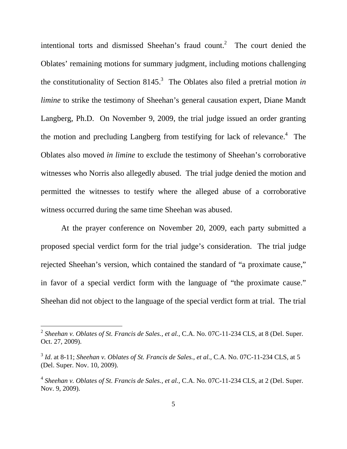intentional torts and dismissed Sheehan's fraud count.<sup>2</sup> The court denied the Oblates' remaining motions for summary judgment, including motions challenging the constitutionality of Section 8145.<sup>3</sup> The Oblates also filed a pretrial motion *in limine* to strike the testimony of Sheehan's general causation expert, Diane Mandt Langberg, Ph.D. On November 9, 2009, the trial judge issued an order granting the motion and precluding Langberg from testifying for lack of relevance.<sup>4</sup> The Oblates also moved *in limine* to exclude the testimony of Sheehan's corroborative witnesses who Norris also allegedly abused. The trial judge denied the motion and permitted the witnesses to testify where the alleged abuse of a corroborative witness occurred during the same time Sheehan was abused.

 At the prayer conference on November 20, 2009, each party submitted a proposed special verdict form for the trial judge's consideration. The trial judge rejected Sheehan's version, which contained the standard of "a proximate cause," in favor of a special verdict form with the language of "the proximate cause." Sheehan did not object to the language of the special verdict form at trial. The trial

<sup>&</sup>lt;sup>2</sup> Sheehan v. Oblates of St. Francis de Sales., et al., C.A. No. 07C-11-234 CLS, at 8 (Del. Super. Oct. 27, 2009).

<sup>&</sup>lt;sup>3</sup> Id. at 8-11; *Sheehan v. Oblates of St. Francis de Sales., et al., C.A. No. 07C-11-234 CLS, at 5* (Del. Super. Nov. 10, 2009).

<sup>&</sup>lt;sup>4</sup> Sheehan v. Oblates of St. Francis de Sales., et al., C.A. No. 07C-11-234 CLS, at 2 (Del. Super. Nov. 9, 2009).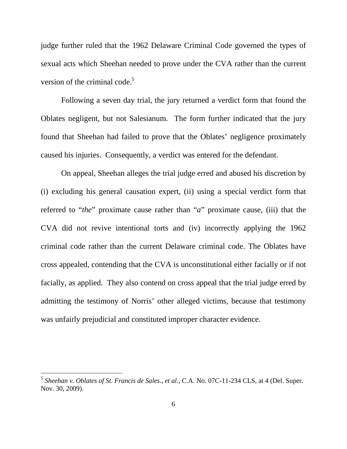judge further ruled that the 1962 Delaware Criminal Code governed the types of sexual acts which Sheehan needed to prove under the CVA rather than the current version of the criminal code. $5$ 

Following a seven day trial, the jury returned a verdict form that found the Oblates negligent, but not Salesianum. The form further indicated that the jury found that Sheehan had failed to prove that the Oblates' negligence proximately caused his injuries. Consequently, a verdict was entered for the defendant.

On appeal, Sheehan alleges the trial judge erred and abused his discretion by (i) excluding his general causation expert, (ii) using a special verdict form that referred to "*the*" proximate cause rather than "*a*" proximate cause, (iii) that the CVA did not revive intentional torts and (iv) incorrectly applying the 1962 criminal code rather than the current Delaware criminal code. The Oblates have cross appealed, contending that the CVA is unconstitutional either facially or if not facially, as applied. They also contend on cross appeal that the trial judge erred by admitting the testimony of Norris' other alleged victims, because that testimony was unfairly prejudicial and constituted improper character evidence.

<sup>&</sup>lt;sup>5</sup> Sheehan v. Oblates of St. Francis de Sales., et al., C.A. No. 07C-11-234 CLS, at 4 (Del. Super. Nov. 30, 2009).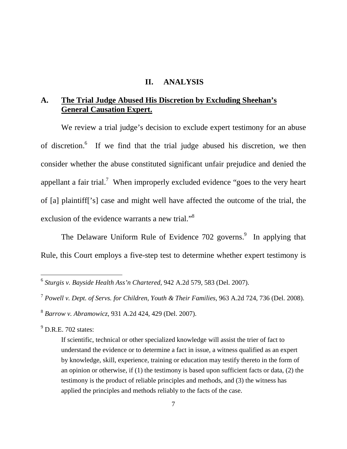#### **II. ANALYSIS**

# **A. The Trial Judge Abused His Discretion by Excluding Sheehan's General Causation Expert.**

We review a trial judge's decision to exclude expert testimony for an abuse of discretion.<sup>6</sup> If we find that the trial judge abused his discretion, we then consider whether the abuse constituted significant unfair prejudice and denied the appellant a fair trial.<sup>7</sup> When improperly excluded evidence "goes to the very heart of [a] plaintiff['s] case and might well have affected the outcome of the trial, the exclusion of the evidence warrants a new trial."<sup>8</sup>

The Delaware Uniform Rule of Evidence 702 governs.<sup>9</sup> In applying that Rule, this Court employs a five-step test to determine whether expert testimony is

<sup>9</sup> D.R.E. 702 states:

 6 *Sturgis v. Bayside Health Ass'n Chartered*, 942 A.2d 579, 583 (Del. 2007).

<sup>7</sup> *Powell v. Dept. of Servs. for Children, Youth & Their Families*, 963 A.2d 724, 736 (Del. 2008).

<sup>8</sup> *Barrow v. Abramowicz*, 931 A.2d 424, 429 (Del. 2007).

If scientific, technical or other specialized knowledge will assist the trier of fact to understand the evidence or to determine a fact in issue, a witness qualified as an expert by knowledge, skill, experience, training or education may testify thereto in the form of an opinion or otherwise, if (1) the testimony is based upon sufficient facts or data, (2) the testimony is the product of reliable principles and methods, and (3) the witness has applied the principles and methods reliably to the facts of the case.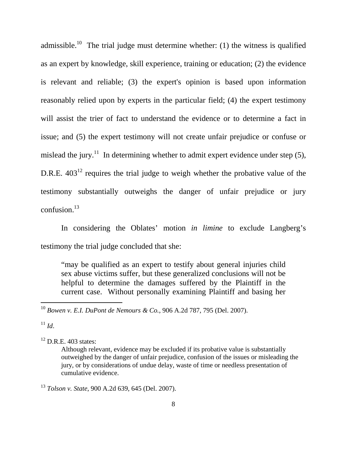admissible.<sup>10</sup> The trial judge must determine whether: (1) the witness is qualified as an expert by knowledge, skill experience, training or education; (2) the evidence is relevant and reliable; (3) the expert's opinion is based upon information reasonably relied upon by experts in the particular field; (4) the expert testimony will assist the trier of fact to understand the evidence or to determine a fact in issue; and (5) the expert testimony will not create unfair prejudice or confuse or mislead the jury.<sup>11</sup> In determining whether to admit expert evidence under step  $(5)$ , D.R.E.  $403^{12}$  requires the trial judge to weigh whether the probative value of the testimony substantially outweighs the danger of unfair prejudice or jury confusion. $^{13}$ 

In considering the Oblates' motion *in limine* to exclude Langberg's testimony the trial judge concluded that she:

"may be qualified as an expert to testify about general injuries child sex abuse victims suffer, but these generalized conclusions will not be helpful to determine the damages suffered by the Plaintiff in the current case. Without personally examining Plaintiff and basing her

<sup>11</sup> *Id*.

-

 $12$  D.R.E. 403 states:

<sup>10</sup> *Bowen v. E.I. DuPont de Nemours & Co.*, 906 A.2d 787, 795 (Del. 2007).

Although relevant, evidence may be excluded if its probative value is substantially outweighed by the danger of unfair prejudice, confusion of the issues or misleading the jury, or by considerations of undue delay, waste of time or needless presentation of cumulative evidence.

<sup>13</sup> *Tolson v. State*, 900 A.2d 639, 645 (Del. 2007).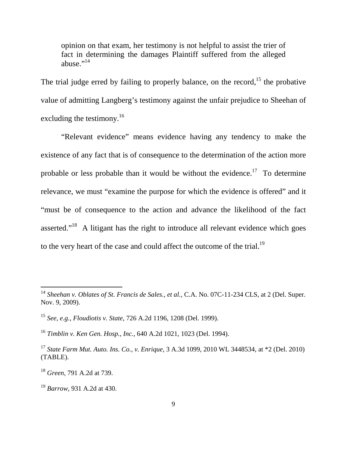opinion on that exam, her testimony is not helpful to assist the trier of fact in determining the damages Plaintiff suffered from the alleged abuse." $^{14}$ 

The trial judge erred by failing to properly balance, on the record,<sup>15</sup> the probative value of admitting Langberg's testimony against the unfair prejudice to Sheehan of excluding the testimony.<sup>16</sup>

"Relevant evidence" means evidence having any tendency to make the existence of any fact that is of consequence to the determination of the action more probable or less probable than it would be without the evidence.<sup>17</sup> To determine relevance, we must "examine the purpose for which the evidence is offered" and it "must be of consequence to the action and advance the likelihood of the fact asserted."<sup>18</sup> A litigant has the right to introduce all relevant evidence which goes to the very heart of the case and could affect the outcome of the trial.<sup>19</sup>

- <sup>15</sup> *See, e.g.*, *Floudiotis v. State,* 726 A.2d 1196, 1208 (Del. 1999).
- <sup>16</sup> *Timblin v. Ken Gen. Hosp., Inc.*, 640 A.2d 1021, 1023 (Del. 1994).

<sup>&</sup>lt;sup>14</sup> Sheehan v. Oblates of St. Francis de Sales., et al., C.A. No. 07C-11-234 CLS, at 2 (Del. Super. Nov. 9, 2009).

<sup>17</sup> *State Farm Mut. Auto. Ins. Co., v. Enrique,* 3 A.3d 1099, 2010 WL 3448534, at \*2 (Del. 2010) (TABLE).

<sup>18</sup> *Green*, 791 A.2d at 739.

<sup>19</sup> *Barrow*, 931 A.2d at 430.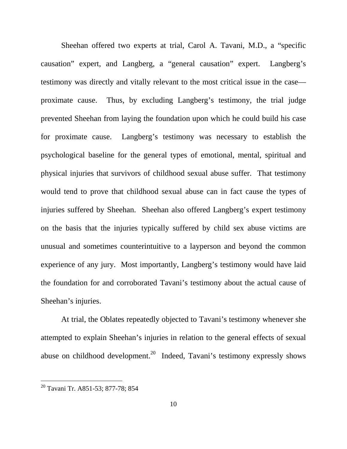Sheehan offered two experts at trial, Carol A. Tavani, M.D., a "specific causation" expert, and Langberg, a "general causation" expert. Langberg's testimony was directly and vitally relevant to the most critical issue in the case proximate cause. Thus, by excluding Langberg's testimony, the trial judge prevented Sheehan from laying the foundation upon which he could build his case for proximate cause. Langberg's testimony was necessary to establish the psychological baseline for the general types of emotional, mental, spiritual and physical injuries that survivors of childhood sexual abuse suffer. That testimony would tend to prove that childhood sexual abuse can in fact cause the types of injuries suffered by Sheehan. Sheehan also offered Langberg's expert testimony on the basis that the injuries typically suffered by child sex abuse victims are unusual and sometimes counterintuitive to a layperson and beyond the common experience of any jury. Most importantly, Langberg's testimony would have laid the foundation for and corroborated Tavani's testimony about the actual cause of Sheehan's injuries.

 At trial, the Oblates repeatedly objected to Tavani's testimony whenever she attempted to explain Sheehan's injuries in relation to the general effects of sexual abuse on childhood development.<sup>20</sup> Indeed, Tavani's testimony expressly shows

<sup>&</sup>lt;sup>20</sup> Tavani Tr. A851-53; 877-78; 854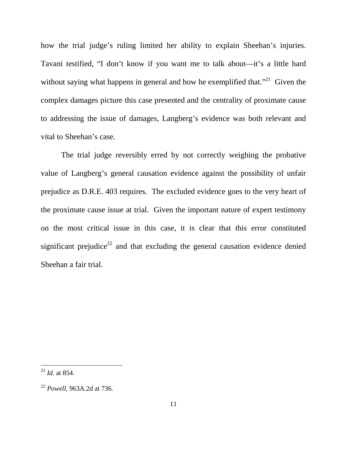how the trial judge's ruling limited her ability to explain Sheehan's injuries. Tavani testified, "I don't know if you want me to talk about—it's a little hard without saying what happens in general and how he exemplified that.<sup> $21$ </sup> Given the complex damages picture this case presented and the centrality of proximate cause to addressing the issue of damages, Langberg's evidence was both relevant and vital to Sheehan's case.

 The trial judge reversibly erred by not correctly weighing the probative value of Langberg's general causation evidence against the possibility of unfair prejudice as D.R.E. 403 requires. The excluded evidence goes to the very heart of the proximate cause issue at trial. Given the important nature of expert testimony on the most critical issue in this case, it is clear that this error constituted significant prejudice<sup>22</sup> and that excluding the general causation evidence denied Sheehan a fair trial.

<sup>21</sup> *Id*. at 854.

<sup>22</sup> *Powell*, 963A.2d at 736.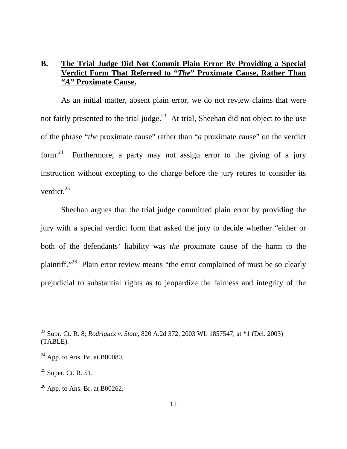## **B. The Trial Judge Did Not Commit Plain Error By Providing a Special Verdict Form That Referred to "***The***" Proximate Cause, Rather Than "***A***" Proximate Cause.**

As an initial matter, absent plain error, we do not review claims that were not fairly presented to the trial judge.<sup>23</sup> At trial, Sheehan did not object to the use of the phrase "*the* proximate cause" rather than "*a* proximate cause" on the verdict form.<sup>24</sup> Furthermore, a party may not assign error to the giving of a jury instruction without excepting to the charge before the jury retires to consider its verdict. $25$ 

Sheehan argues that the trial judge committed plain error by providing the jury with a special verdict form that asked the jury to decide whether "either or both of the defendants' liability was *the* proximate cause of the harm to the plaintiff."<sup>26</sup> Plain error review means "the error complained of must be so clearly prejudicial to substantial rights as to jeopardize the fairness and integrity of the

<sup>23</sup> Supr. Ct. R. 8; *Rodriguez v. State,* 820 A.2d 372, 2003 WL 1857547, at \*1 (Del. 2003) (TABLE).

 $24$  App. to Ans. Br. at B00080.

 $25$  Super. Ct. R. 51.

 $26$  App. to Ans. Br. at B00262.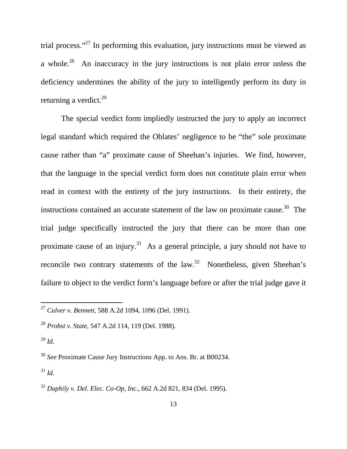trial process."<sup>27</sup> In performing this evaluation, jury instructions must be viewed as a whole.<sup>28</sup> An inaccuracy in the jury instructions is not plain error unless the deficiency undermines the ability of the jury to intelligently perform its duty in returning a verdict.<sup>29</sup>

The special verdict form impliedly instructed the jury to apply an incorrect legal standard which required the Oblates' negligence to be "the" sole proximate cause rather than "a" proximate cause of Sheehan's injuries. We find, however, that the language in the special verdict form does not constitute plain error when read in context with the entirety of the jury instructions. In their entirety, the instructions contained an accurate statement of the law on proximate cause.<sup>30</sup> The trial judge specifically instructed the jury that there can be more than one proximate cause of an injury.<sup>31</sup> As a general principle, a jury should not have to reconcile two contrary statements of the law.<sup>32</sup> Nonetheless, given Sheehan's failure to object to the verdict form's language before or after the trial judge gave it

 $\overline{a}$ 

 $31$  *Id.* 

<sup>27</sup> *Culver v. Bennett*, 588 A.2d 1094, 1096 (Del. 1991).

<sup>28</sup> *Probst v. State*, 547 A.2d 114, 119 (Del. 1988).

 $^{29}$  *Id.* 

<sup>30</sup> *See* Proximate Cause Jury Instructions App. to Ans. Br. at B00234.

<sup>32</sup> *Duphily v. Del. Elec. Co-Op, Inc.*, 662 A.2d 821, 834 (Del. 1995).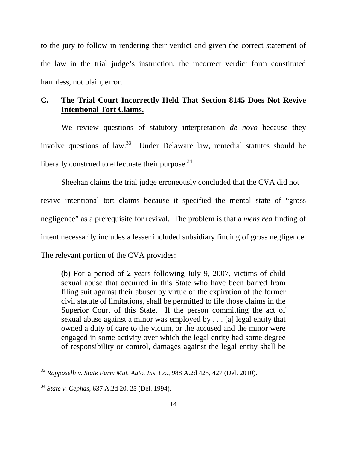to the jury to follow in rendering their verdict and given the correct statement of the law in the trial judge's instruction, the incorrect verdict form constituted harmless, not plain, error.

## **C. The Trial Court Incorrectly Held That Section 8145 Does Not Revive Intentional Tort Claims.**

We review questions of statutory interpretation *de novo* because they involve questions of law. $33$  Under Delaware law, remedial statutes should be liberally construed to effectuate their purpose. $34$ 

Sheehan claims the trial judge erroneously concluded that the CVA did not revive intentional tort claims because it specified the mental state of "gross negligence" as a prerequisite for revival. The problem is that a *mens rea* finding of intent necessarily includes a lesser included subsidiary finding of gross negligence. The relevant portion of the CVA provides:

(b) For a period of 2 years following July 9, 2007, victims of child sexual abuse that occurred in this State who have been barred from filing suit against their abuser by virtue of the expiration of the former civil statute of limitations, shall be permitted to file those claims in the Superior Court of this State. If the person committing the act of sexual abuse against a minor was employed by . . . [a] legal entity that owned a duty of care to the victim, or the accused and the minor were engaged in some activity over which the legal entity had some degree of responsibility or control, damages against the legal entity shall be

<sup>33</sup> *Rapposelli v. State Farm Mut. Auto. Ins. Co.*, 988 A.2d 425, 427 (Del. 2010).

<sup>34</sup> *State v. Cephas,* 637 A.2d 20, 25 (Del. 1994).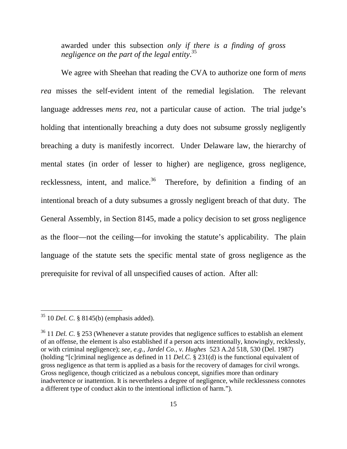awarded under this subsection *only if there is a finding of gross negligence on the part of the legal entity*. 35

 We agree with Sheehan that reading the CVA to authorize one form of *mens rea* misses the self-evident intent of the remedial legislation. The relevant language addresses *mens rea*, not a particular cause of action. The trial judge's holding that intentionally breaching a duty does not subsume grossly negligently breaching a duty is manifestly incorrect. Under Delaware law, the hierarchy of mental states (in order of lesser to higher) are negligence, gross negligence, recklessness, intent, and malice.<sup>36</sup> Therefore, by definition a finding of an intentional breach of a duty subsumes a grossly negligent breach of that duty. The General Assembly, in Section 8145, made a policy decision to set gross negligence as the floor—not the ceiling—for invoking the statute's applicability. The plain language of the statute sets the specific mental state of gross negligence as the prerequisite for revival of all unspecified causes of action. After all:

<sup>35</sup> 10 *Del. C*. § 8145(b) (emphasis added).

<sup>&</sup>lt;sup>36</sup> 11 *Del. C.* § 253 (Whenever a statute provides that negligence suffices to establish an element of an offense, the element is also established if a person acts intentionally, knowingly, recklessly, or with criminal negligence); *see, e.g.*, *Jardel Co., v. Hughes* 523 A.2d 518, 530 (Del. 1987) (holding "[c]riminal negligence as defined in 11 *Del.C.* § 231(d) is the functional equivalent of gross negligence as that term is applied as a basis for the recovery of damages for civil wrongs. Gross negligence, though criticized as a nebulous concept, signifies more than ordinary inadvertence or inattention. It is nevertheless a degree of negligence, while recklessness connotes a different type of conduct akin to the intentional infliction of harm.").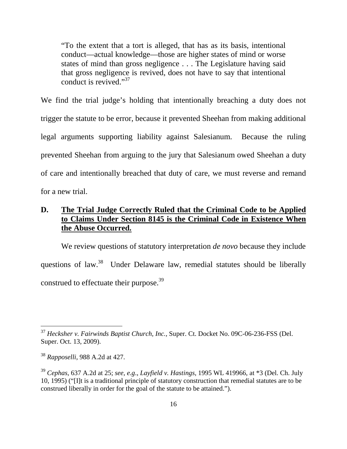"To the extent that a tort is alleged, that has as its basis, intentional conduct—actual knowledge—those are higher states of mind or worse states of mind than gross negligence . . . The Legislature having said that gross negligence is revived, does not have to say that intentional conduct is revived."<sup>37</sup>

We find the trial judge's holding that intentionally breaching a duty does not trigger the statute to be error, because it prevented Sheehan from making additional legal arguments supporting liability against Salesianum. Because the ruling prevented Sheehan from arguing to the jury that Salesianum owed Sheehan a duty of care and intentionally breached that duty of care, we must reverse and remand for a new trial.

# **D. The Trial Judge Correctly Ruled that the Criminal Code to be Applied to Claims Under Section 8145 is the Criminal Code in Existence When the Abuse Occurred.**

We review questions of statutory interpretation *de novo* because they include questions of law.<sup>38</sup> Under Delaware law, remedial statutes should be liberally construed to effectuate their purpose.<sup>39</sup>

<sup>37</sup> *Hecksher v. Fairwinds Baptist Church, Inc.,* Super. Ct. Docket No. 09C-06-236-FSS (Del. Super. Oct. 13, 2009).

<sup>38</sup> *Rapposelli*, 988 A.2d at 427.

<sup>39</sup> *Cephas*, 637 A.2d at 25; *see, e.g*., *Layfield v. Hastings,* 1995 WL 419966, at \*3 (Del. Ch. July 10, 1995) ("[I]t is a traditional principle of statutory construction that remedial statutes are to be construed liberally in order for the goal of the statute to be attained.").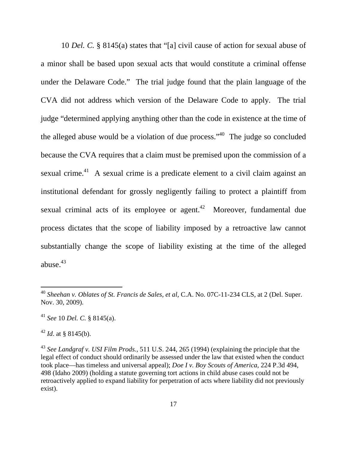10 *Del. C.* § 8145(a) states that "[a] civil cause of action for sexual abuse of a minor shall be based upon sexual acts that would constitute a criminal offense under the Delaware Code." The trial judge found that the plain language of the CVA did not address which version of the Delaware Code to apply. The trial judge "determined applying anything other than the code in existence at the time of the alleged abuse would be a violation of due process." $40$  The judge so concluded because the CVA requires that a claim must be premised upon the commission of a sexual crime.<sup>41</sup> A sexual crime is a predicate element to a civil claim against an institutional defendant for grossly negligently failing to protect a plaintiff from sexual criminal acts of its employee or agent.<sup>42</sup> Moreover, fundamental due process dictates that the scope of liability imposed by a retroactive law cannot substantially change the scope of liability existing at the time of the alleged abuse. $43$ 

<sup>&</sup>lt;sup>40</sup> Sheehan v. Oblates of St. Francis de Sales, et al, C.A. No. 07C-11-234 CLS, at 2 (Del. Super. Nov. 30, 2009).

<sup>41</sup> *See* 10 *Del. C.* § 8145(a).

 $42$  *Id.* at § 8145(b).

<sup>43</sup> *See Landgraf v. USI Film Prods.,* 511 U.S. 244, 265 (1994) (explaining the principle that the legal effect of conduct should ordinarily be assessed under the law that existed when the conduct took place—has timeless and universal appeal); *Doe I v. Boy Scouts of America*, 224 P.3d 494, 498 (Idaho 2009) (holding a statute governing tort actions in child abuse cases could not be retroactively applied to expand liability for perpetration of acts where liability did not previously exist).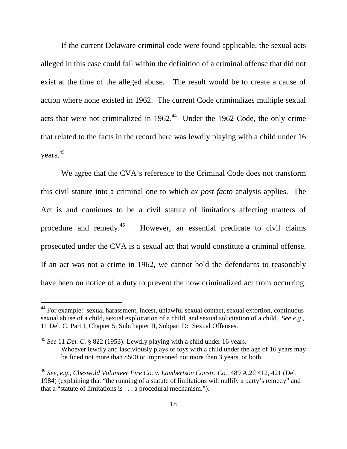If the current Delaware criminal code were found applicable, the sexual acts alleged in this case could fall within the definition of a criminal offense that did not exist at the time of the alleged abuse. The result would be to create a cause of action where none existed in 1962. The current Code criminalizes multiple sexual acts that were not criminalized in  $1962<sup>44</sup>$  Under the 1962 Code, the only crime that related to the facts in the record here was lewdly playing with a child under 16 years. 45

We agree that the CVA's reference to the Criminal Code does not transform this civil statute into a criminal one to which *ex post facto* analysis applies. The Act is and continues to be a civil statute of limitations affecting matters of procedure and remedy.<sup>46</sup> However, an essential predicate to civil claims prosecuted under the CVA is a sexual act that would constitute a criminal offense. If an act was not a crime in 1962, we cannot hold the defendants to reasonably have been on notice of a duty to prevent the now criminalized act from occurring.

<sup>&</sup>lt;sup>44</sup> For example: sexual harassment, incest, unlawful sexual contact, sexual extortion, continuous sexual abuse of a child, sexual exploitation of a child, and sexual solicitation of a child. *See e.g*., 11 Del. C. Part I, Chapter 5, Subchapter II, Subpart D: Sexual Offenses.

<sup>45</sup> *See* 11 *Del. C.* § 822 (1953): Lewdly playing with a child under 16 years. Whoever lewdly and lasciviously plays or toys with a child under the age of 16 years may be fined not more than \$500 or imprisoned not more than 3 years, or both.

<sup>46</sup> *See, e.g*., *Cheswold Volunteer Fire Co. v. Lambertson Constr. Co.*, 489 A.2d 412, 421 (Del. 1984) (explaining that "the running of a statute of limitations will nullify a party's remedy" and that a "statute of limitations is . . . a procedural mechanism.").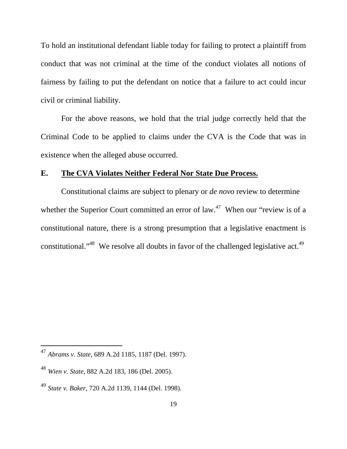To hold an institutional defendant liable today for failing to protect a plaintiff from conduct that was not criminal at the time of the conduct violates all notions of fairness by failing to put the defendant on notice that a failure to act could incur civil or criminal liability.

For the above reasons, we hold that the trial judge correctly held that the Criminal Code to be applied to claims under the CVA is the Code that was in existence when the alleged abuse occurred.

### **E. The CVA Violates Neither Federal Nor State Due Process.**

Constitutional claims are subject to plenary or *de novo* review to determine whether the Superior Court committed an error of  $law<sup>47</sup>$  When our "review is of a constitutional nature, there is a strong presumption that a legislative enactment is constitutional."<sup>48</sup> We resolve all doubts in favor of the challenged legislative act.<sup>49</sup>

<sup>47</sup> *Abrams v. State*, 689 A.2d 1185, 1187 (Del. 1997).

<sup>48</sup> *Wien v. State,* 882 A.2d 183, 186 (Del. 2005).

<sup>49</sup> *State v. Baker*, 720 A.2d 1139, 1144 (Del. 1998).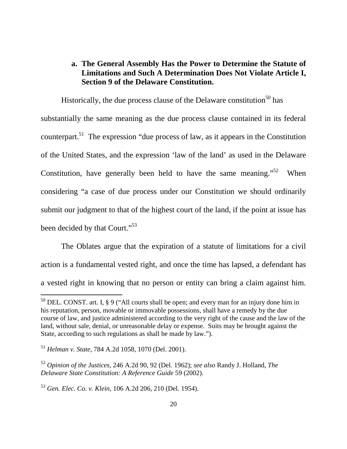## **a. The General Assembly Has the Power to Determine the Statute of Limitations and Such A Determination Does Not Violate Article I, Section 9 of the Delaware Constitution.**

Historically, the due process clause of the Delaware constitution<sup>50</sup> has substantially the same meaning as the due process clause contained in its federal counterpart.<sup>51</sup> The expression "due process of law, as it appears in the Constitution of the United States, and the expression 'law of the land' as used in the Delaware Constitution, have generally been held to have the same meaning."<sup>52</sup> When considering "a case of due process under our Constitution we should ordinarily submit our judgment to that of the highest court of the land, if the point at issue has been decided by that Court."<sup>53</sup>

 The Oblates argue that the expiration of a statute of limitations for a civil action is a fundamental vested right, and once the time has lapsed, a defendant has a vested right in knowing that no person or entity can bring a claim against him.

 $50$  DEL. CONST. art. I, § 9 ("All courts shall be open; and every man for an injury done him in his reputation, person, movable or immovable possessions, shall have a remedy by the due course of law, and justice administered according to the very right of the cause and the law of the land, without sale, denial, or unreasonable delay or expense. Suits may be brought against the State, according to such regulations as shall be made by law.").

<sup>51</sup> *Helman v. State*, 784 A.2d 1058, 1070 (Del. 2001).

<sup>52</sup> *Opinion of the Justices,* 246 A.2d 90, 92 (Del. 1962); *see also* Randy J. Holland, *The Delaware State Constitution: A Reference Guide* 59 (2002).

<sup>53</sup> *Gen. Elec. Co. v. Klein,* 106 A.2d 206, 210 (Del. 1954).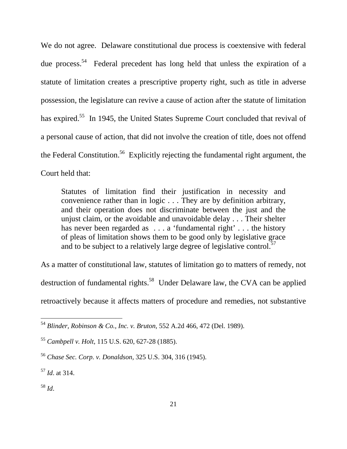We do not agree. Delaware constitutional due process is coextensive with federal due process.<sup>54</sup> Federal precedent has long held that unless the expiration of a statute of limitation creates a prescriptive property right, such as title in adverse possession, the legislature can revive a cause of action after the statute of limitation has expired.<sup>55</sup> In 1945, the United States Supreme Court concluded that revival of a personal cause of action, that did not involve the creation of title, does not offend the Federal Constitution.<sup>56</sup> Explicitly rejecting the fundamental right argument, the Court held that:

Statutes of limitation find their justification in necessity and convenience rather than in logic . . . They are by definition arbitrary, and their operation does not discriminate between the just and the unjust claim, or the avoidable and unavoidable delay . . . Their shelter has never been regarded as ... a 'fundamental right' ... the history of pleas of limitation shows them to be good only by legislative grace and to be subject to a relatively large degree of legislative control.<sup>57</sup>

As a matter of constitutional law, statutes of limitation go to matters of remedy, not destruction of fundamental rights.<sup>58</sup> Under Delaware law, the CVA can be applied retroactively because it affects matters of procedure and remedies, not substantive

<sup>58</sup> *Id*.

<sup>54</sup> *Blinder, Robinson & Co., Inc. v. Bruton,* 552 A.2d 466, 472 (Del. 1989).

<sup>55</sup> *Cambpell v. Holt,* 115 U.S. 620, 627-28 (1885).

<sup>56</sup> *Chase Sec. Corp. v. Donaldson,* 325 U.S. 304, 316 (1945).

<sup>57</sup> *Id*. at 314.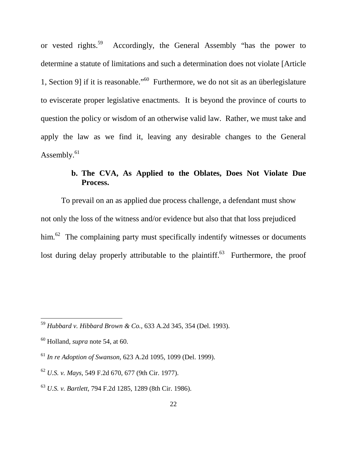or vested rights.<sup>59</sup> Accordingly, the General Assembly "has the power to determine a statute of limitations and such a determination does not violate [Article 1, Section 9] if it is reasonable."<sup>60</sup> Furthermore, we do not sit as an überlegislature to eviscerate proper legislative enactments. It is beyond the province of courts to question the policy or wisdom of an otherwise valid law. Rather, we must take and apply the law as we find it, leaving any desirable changes to the General Assembly.<sup>61</sup>

# **b. The CVA, As Applied to the Oblates, Does Not Violate Due Process.**

To prevail on an as applied due process challenge, a defendant must show not only the loss of the witness and/or evidence but also that that loss prejudiced him.<sup>62</sup> The complaining party must specifically indentify witnesses or documents lost during delay properly attributable to the plaintiff. $63$  Furthermore, the proof

<sup>59</sup> *Hubbard v. Hibbard Brown & Co.,* 633 A.2d 345, 354 (Del. 1993).

<sup>60</sup> Holland, *supra* note 54, at 60.

<sup>61</sup> *In re Adoption of Swanson,* 623 A.2d 1095, 1099 (Del. 1999).

<sup>62</sup> *U.S. v. Mays,* 549 F.2d 670, 677 (9th Cir. 1977).

<sup>63</sup> *U.S. v. Bartlett,* 794 F.2d 1285, 1289 (8th Cir. 1986).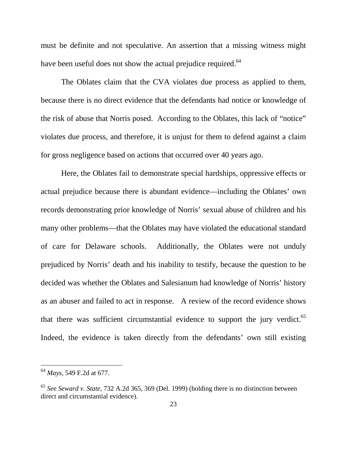must be definite and not speculative. An assertion that a missing witness might have been useful does not show the actual prejudice required.<sup>64</sup>

 The Oblates claim that the CVA violates due process as applied to them, because there is no direct evidence that the defendants had notice or knowledge of the risk of abuse that Norris posed. According to the Oblates, this lack of "notice" violates due process, and therefore, it is unjust for them to defend against a claim for gross negligence based on actions that occurred over 40 years ago.

 Here, the Oblates fail to demonstrate special hardships, oppressive effects or actual prejudice because there is abundant evidence—including the Oblates' own records demonstrating prior knowledge of Norris' sexual abuse of children and his many other problems—that the Oblates may have violated the educational standard of care for Delaware schools. Additionally, the Oblates were not unduly prejudiced by Norris' death and his inability to testify, because the question to be decided was whether the Oblates and Salesianum had knowledge of Norris' history as an abuser and failed to act in response. A review of the record evidence shows that there was sufficient circumstantial evidence to support the jury verdict.<sup>65</sup> Indeed, the evidence is taken directly from the defendants' own still existing

<sup>64</sup> *Mays,* 549 F.2d at 677.

<sup>65</sup> *See Seward v. State,* 732 A.2d 365, 369 (Del. 1999) (holding there is no distinction between direct and circumstantial evidence).